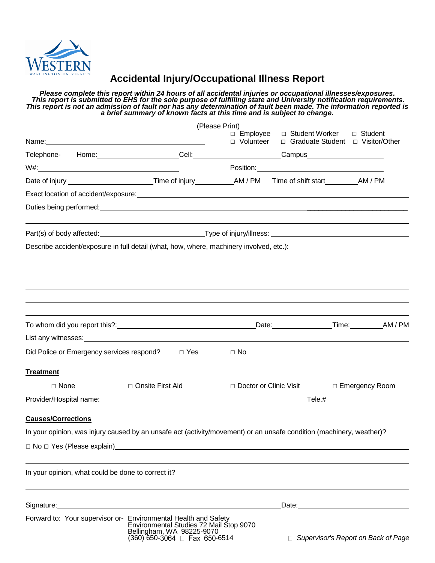

## **Accidental Injury/Occupational Illness Report**

*Please complete this report within 24 hours of all accidental injuries or occupational illnesses/exposures. This report is submitted to EHS for the sole purpose of fulfilling state and University notification requirements. This report is not an admission of fault nor has any determination of fault been made. The information reported is a brief summary of known facts at this time and is subject to change.*

| (Please Print)                                                                                                       |                                                                                                       |                                                                                                                                                                                                                                |                                                                  |                                       |  |
|----------------------------------------------------------------------------------------------------------------------|-------------------------------------------------------------------------------------------------------|--------------------------------------------------------------------------------------------------------------------------------------------------------------------------------------------------------------------------------|------------------------------------------------------------------|---------------------------------------|--|
| Name: Name:                                                                                                          |                                                                                                       | $\Box$ Employee<br>□ Volunteer                                                                                                                                                                                                 | □ Student Worker<br>$\Box$ Graduate Student $\Box$ Visitor/Other | $\Box$ Student                        |  |
|                                                                                                                      |                                                                                                       |                                                                                                                                                                                                                                |                                                                  |                                       |  |
|                                                                                                                      |                                                                                                       |                                                                                                                                                                                                                                |                                                                  |                                       |  |
|                                                                                                                      |                                                                                                       |                                                                                                                                                                                                                                |                                                                  |                                       |  |
|                                                                                                                      |                                                                                                       |                                                                                                                                                                                                                                |                                                                  |                                       |  |
|                                                                                                                      |                                                                                                       |                                                                                                                                                                                                                                |                                                                  |                                       |  |
| Describe accident/exposure in full detail (what, how, where, machinery involved, etc.):                              |                                                                                                       |                                                                                                                                                                                                                                |                                                                  |                                       |  |
|                                                                                                                      |                                                                                                       |                                                                                                                                                                                                                                |                                                                  |                                       |  |
|                                                                                                                      | ,我们也不会有什么。""我们的人,我们也不会有什么?""我们的人,我们也不会有什么?""我们的人,我们也不会有什么?""我们的人,我们也不会有什么?""我们的人                      |                                                                                                                                                                                                                                |                                                                  |                                       |  |
| Did Police or Emergency services respond?<br><u> </u> Yes                                                            |                                                                                                       | $\Box$ No                                                                                                                                                                                                                      |                                                                  |                                       |  |
|                                                                                                                      |                                                                                                       |                                                                                                                                                                                                                                |                                                                  |                                       |  |
| <b>Treatment</b>                                                                                                     |                                                                                                       |                                                                                                                                                                                                                                |                                                                  |                                       |  |
| $\Box$ None                                                                                                          | □ Onsite First Aid                                                                                    | □ Doctor or Clinic Visit                                                                                                                                                                                                       |                                                                  | □ Emergency Room                      |  |
|                                                                                                                      |                                                                                                       | Tele.# The contract of the contract of the contract of the contract of the contract of the contract of the contract of the contract of the contract of the contract of the contract of the contract of the contract of the con |                                                                  |                                       |  |
| <b>Causes/Corrections</b>                                                                                            |                                                                                                       |                                                                                                                                                                                                                                |                                                                  |                                       |  |
| In your opinion, was injury caused by an unsafe act (activity/movement) or an unsafe condition (machinery, weather)? |                                                                                                       |                                                                                                                                                                                                                                |                                                                  |                                       |  |
|                                                                                                                      |                                                                                                       |                                                                                                                                                                                                                                |                                                                  |                                       |  |
|                                                                                                                      |                                                                                                       |                                                                                                                                                                                                                                |                                                                  |                                       |  |
|                                                                                                                      |                                                                                                       |                                                                                                                                                                                                                                |                                                                  |                                       |  |
| Forward to: Your supervisor or- Environmental Health and Safety                                                      | Environmental Studies 72 Mail Stop 9070<br>Bellingham, WA 98225-9070<br>(360) 650-3064 □ Fax 650-6514 |                                                                                                                                                                                                                                |                                                                  | □ Supervisor's Report on Back of Page |  |